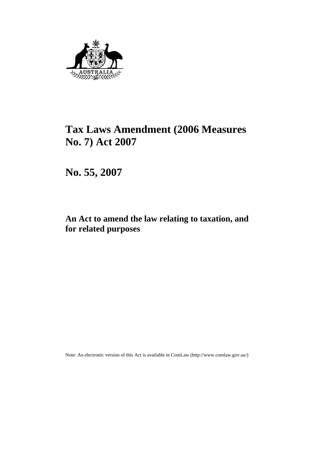

# **Tax Laws Amendment (2006 Measures No. 7) Act 2007**

**No. 55, 2007** 

# **An Act to amend the law relating to taxation, and for related purposes**

Note: An electronic version of this Act is available in ComLaw (http://www.comlaw.gov.au/)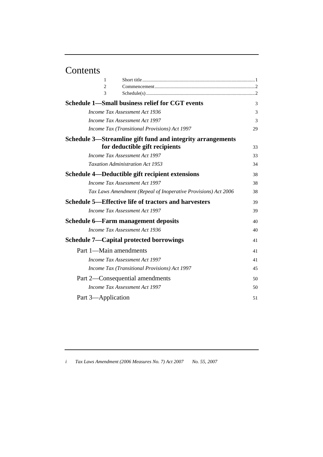# Contents

| 1                                          |                                                                |    |
|--------------------------------------------|----------------------------------------------------------------|----|
| 2                                          |                                                                |    |
| 3                                          |                                                                |    |
|                                            | <b>Schedule 1-Small business relief for CGT events</b>         | 3  |
|                                            | Income Tax Assessment Act 1936                                 | 3  |
|                                            | Income Tax Assessment Act 1997                                 | 3  |
|                                            | <i>Income Tax (Transitional Provisions) Act 1997</i>           | 29 |
|                                            | Schedule 3—Streamline gift fund and integrity arrangements     |    |
|                                            | for deductible gift recipients                                 | 33 |
|                                            | Income Tax Assessment Act 1997                                 | 33 |
|                                            | <b>Taxation Administration Act 1953</b>                        | 34 |
|                                            | Schedule 4—Deductible gift recipient extensions                | 38 |
|                                            | Income Tax Assessment Act 1997                                 | 38 |
|                                            | Tax Laws Amendment (Repeal of Inoperative Provisions) Act 2006 | 38 |
|                                            | Schedule 5—Effective life of tractors and harvesters           | 39 |
|                                            | Income Tax Assessment Act 1997                                 | 39 |
| <b>Schedule 6—Farm management deposits</b> |                                                                | 40 |
|                                            | Income Tax Assessment Act 1936                                 | 40 |
|                                            | <b>Schedule 7—Capital protected borrowings</b>                 | 41 |
| Part 1-Main amendments                     |                                                                | 41 |
|                                            | Income Tax Assessment Act 1997                                 | 41 |
|                                            | Income Tax (Transitional Provisions) Act 1997                  | 45 |
|                                            | Part 2—Consequential amendments                                | 50 |
|                                            | Income Tax Assessment Act 1997                                 | 50 |
| Part 3—Application                         |                                                                | 51 |
|                                            |                                                                |    |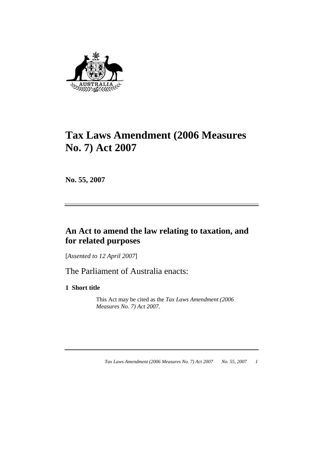

# **Tax Laws Amendment (2006 Measures No. 7) Act 2007**

**No. 55, 2007** 

# **An Act to amend the law relating to taxation, and for related purposes**

[*Assented to 12 April 2007*]

The Parliament of Australia enacts:

**1 Short title** 

 This Act may be cited as the *Tax Laws Amendment (2006 Measures No. 7) Act 2007*.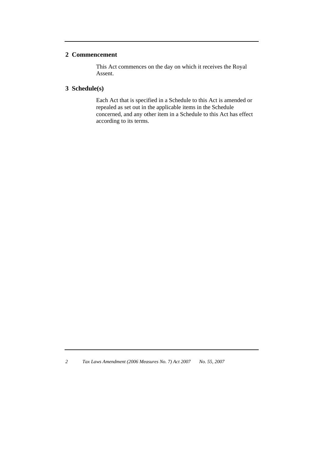# **2 Commencement**

 This Act commences on the day on which it receives the Royal Assent.

# **3 Schedule(s)**

 Each Act that is specified in a Schedule to this Act is amended or repealed as set out in the applicable items in the Schedule concerned, and any other item in a Schedule to this Act has effect according to its terms.

*<sup>2</sup> Tax Laws Amendment (2006 Measures No. 7) Act 2007 No. 55, 2007*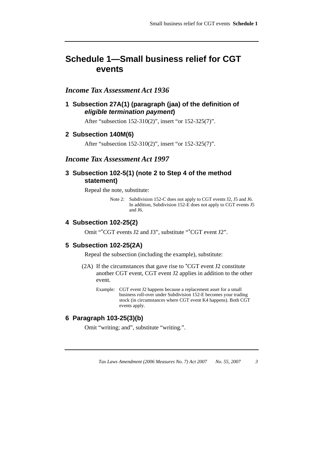# **Schedule 1—Small business relief for CGT events**

# *Income Tax Assessment Act 1936*

**1 Subsection 27A(1) (paragraph (jaa) of the definition of**  *eligible termination payment***)** 

After "subsection 152-310(2)", insert "or 152-325(7)".

#### **2 Subsection 140M(6)**

After "subsection 152-310(2)", insert "or 152-325(7)".

# *Income Tax Assessment Act 1997*

## **3 Subsection 102-5(1) (note 2 to Step 4 of the method statement)**

Repeal the note, substitute:

Note 2: Subdivision 152-C does not apply to CGT events J2, J5 and J6. In addition, Subdivision 152-E does not apply to CGT events J5 and J6.

# **4 Subsection 102-25(2)**

Omit "\*CGT events J2 and J3", substitute "\*CGT event J2".

#### **5 Subsection 102-25(2A)**

Repeal the subsection (including the example), substitute:

- (2A) If the circumstances that gave rise to \*CGT event J2 constitute another CGT event, CGT event J2 applies in addition to the other event.
	- Example: CGT event J2 happens because a replacement asset for a small business roll-over under Subdivision 152-E becomes your trading stock (in circumstances where CGT event K4 happens). Both CGT events apply.

# **6 Paragraph 103-25(3)(b)**

Omit "writing; and", substitute "writing.".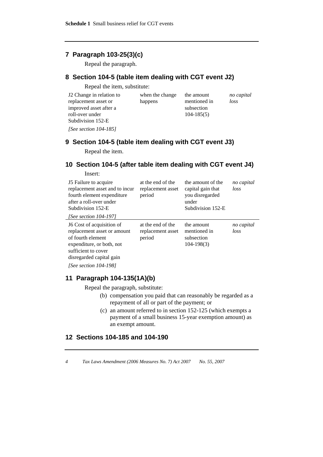# **7 Paragraph 103-25(3)(c)**

Repeal the paragraph.

# **8 Section 104-5 (table item dealing with CGT event J2)**

Repeal the item, substitute:

| J2 Change in relation to | when the change | the amount     | no capital |
|--------------------------|-----------------|----------------|------------|
| replacement asset or     | happens         | mentioned in   | loss       |
| improved asset after a   |                 | subsection     |            |
| roll-over under          |                 | $104 - 185(5)$ |            |
| Subdivision 152-E        |                 |                |            |
| [See section $104-185$ ] |                 |                |            |

# **9 Section 104-5 (table item dealing with CGT event J3)**

Repeal the item.

# **10 Section 104-5 (after table item dealing with CGT event J4)**

| Insert:                                                                                                                                                               |                                                  |                                                                                         |                    |
|-----------------------------------------------------------------------------------------------------------------------------------------------------------------------|--------------------------------------------------|-----------------------------------------------------------------------------------------|--------------------|
| 15 Failure to acquire<br>replacement asset and to incur<br>fourth element expenditure<br>after a roll-over under<br>Subdivision 152-E<br><i>[See section 104-197]</i> | at the end of the<br>replacement asset<br>period | the amount of the<br>capital gain that<br>you disregarded<br>under<br>Subdivision 152-E | no capital<br>loss |
| J6 Cost of acquisition of<br>replacement asset or amount<br>of fourth element<br>expenditure, or both, not<br>sufficient to cover<br>disregarded capital gain         | at the end of the<br>replacement asset<br>period | the amount<br>mentioned in<br>subsection<br>$104 - 198(3)$                              | no capital<br>loss |

*[See section 104-198]*

## **11 Paragraph 104-135(1A)(b)**

Repeal the paragraph, substitute:

- (b) compensation you paid that can reasonably be regarded as a repayment of all or part of the payment; or
- (c) an amount referred to in section 152-125 (which exempts a payment of a small business 15-year exemption amount) as an exempt amount.

## **12 Sections 104-185 and 104-190**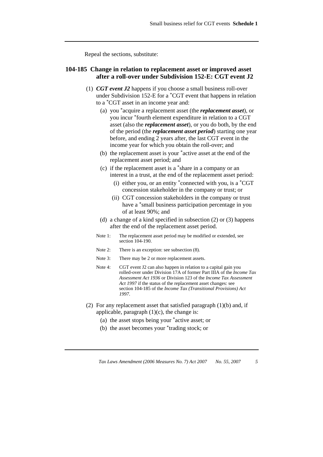Repeal the sections, substitute:

## **104-185 Change in relation to replacement asset or improved asset after a roll-over under Subdivision 152-E: CGT event J2**

- (1) *CGT event J2* happens if you choose a small business roll-over under Subdivision 152-E for a \*CGT event that happens in relation to a \*CGT asset in an income year and:
	- (a) you \*acquire a replacement asset (the *replacement asset*), or you incur \*fourth element expenditure in relation to a CGT asset (also the *replacement asset*), or you do both, by the end of the period (the *replacement asset period*) starting one year before, and ending 2 years after, the last CGT event in the income year for which you obtain the roll-over; and
	- (b) the replacement asset is your \*active asset at the end of the replacement asset period; and
	- (c) if the replacement asset is a \*share in a company or an interest in a trust, at the end of the replacement asset period:
		- (i) either you, or an entity \*connected with you, is a \*CGT concession stakeholder in the company or trust; or
		- (ii) CGT concession stakeholders in the company or trust have a \*small business participation percentage in you of at least 90%; and
	- (d) a change of a kind specified in subsection (2) or (3) happens after the end of the replacement asset period.
	- Note 1: The replacement asset period may be modified or extended, see section 104-190.
	- Note 2: There is an exception: see subsection (8).
	- Note 3: There may be 2 or more replacement assets.
	- Note 4: CGT event J2 can also happen in relation to a capital gain you rolled-over under Division 17A of former Part IIIA of the *Income Tax Assessment Act 1936* or Division 123 of the *Income Tax Assessment Act 1997* if the status of the replacement asset changes: see section 104-185 of the *Income Tax (Transitional Provisions) Act 1997*.
- (2) For any replacement asset that satisfied paragraph  $(1)(b)$  and, if applicable, paragraph  $(1)(c)$ , the change is:
	- (a) the asset stops being your \*active asset; or
	- (b) the asset becomes your \*trading stock; or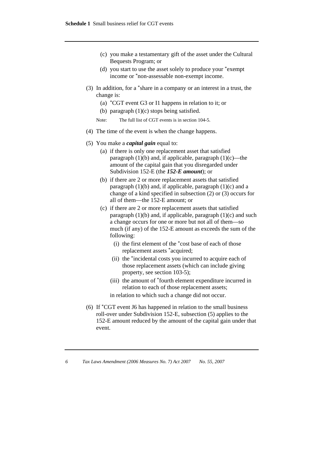- (c) you make a testamentary gift of the asset under the Cultural Bequests Program; or
- (d) you start to use the asset solely to produce your \*exempt income or \*non-assessable non-exempt income.
- (3) In addition, for a \*share in a company or an interest in a trust, the change is:
	- (a) \*CGT event G3 or I1 happens in relation to it; or
	- (b) paragraph (1)(c) stops being satisfied.
	- Note: The full list of CGT events is in section 104-5.
- (4) The time of the event is when the change happens.
- (5) You make a *capital gain* equal to:
	- (a) if there is only one replacement asset that satisfied paragraph  $(1)(b)$  and, if applicable, paragraph  $(1)(c)$ —the amount of the capital gain that you disregarded under Subdivision 152-E (the *152-E amount*); or
	- (b) if there are 2 or more replacement assets that satisfied paragraph  $(1)(b)$  and, if applicable, paragraph  $(1)(c)$  and a change of a kind specified in subsection (2) or (3) occurs for all of them—the 152-E amount; or
	- (c) if there are 2 or more replacement assets that satisfied paragraph  $(1)(b)$  and, if applicable, paragraph  $(1)(c)$  and such a change occurs for one or more but not all of them—so much (if any) of the 152-E amount as exceeds the sum of the following:
		- (i) the first element of the \*cost base of each of those replacement assets \*acquired;
		- (ii) the \*incidental costs you incurred to acquire each of those replacement assets (which can include giving property, see section 103-5);
		- (iii) the amount of \*fourth element expenditure incurred in relation to each of those replacement assets;

in relation to which such a change did not occur.

 (6) If \*CGT event J6 has happened in relation to the small business roll-over under Subdivision 152-E, subsection (5) applies to the 152-E amount reduced by the amount of the capital gain under that event.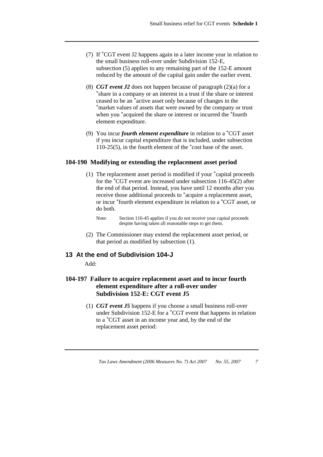- (7) If \*CGT event J2 happens again in a later income year in relation to the small business roll-over under Subdivision 152-E, subsection (5) applies to any remaining part of the 152-E amount reduced by the amount of the capital gain under the earlier event.
- (8) *CGT event J2* does not happen because of paragraph (2)(a) for a  $*$ share in a company or an interest in a trust if the share or interest ceased to be an \*active asset only because of changes in the \*market values of assets that were owned by the company or trust when you \*acquired the share or interest or incurred the \*fourth element expenditure.
- (9) You incur *fourth element expenditure* in relation to a \*CGT asset if you incur capital expenditure that is included, under subsection 110-25(5), in the fourth element of the \*cost base of the asset.

#### **104-190 Modifying or extending the replacement asset period**

 (1) The replacement asset period is modified if your \*capital proceeds for the \*CGT event are increased under subsection 116-45(2) after the end of that period. Instead, you have until 12 months after you receive those additional proceeds to \*acquire a replacement asset, or incur \*fourth element expenditure in relation to a \*CGT asset, or do both.

 (2) The Commissioner may extend the replacement asset period, or that period as modified by subsection (1).

## **13 At the end of Subdivision 104-J**

Add:

# **104-197 Failure to acquire replacement asset and to incur fourth element expenditure after a roll-over under Subdivision 152-E: CGT event J5**

 (1) *CGT event J5* happens if you choose a small business roll-over under Subdivision 152-E for a \*CGT event that happens in relation to a \*CGT asset in an income year and, by the end of the replacement asset period:

Note: Section 116-45 applies if you do not receive your capital proceeds despite having taken all reasonable steps to get them.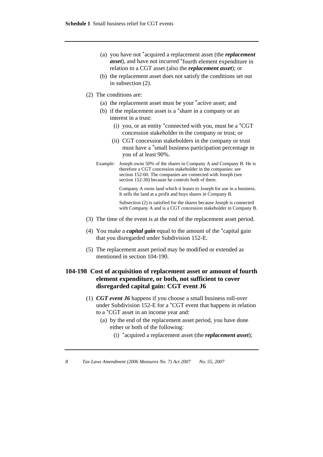- (a) you have not \*acquired a replacement asset (the *replacement asset*), and have not incurred \*fourth element expenditure in relation to a CGT asset (also the *replacement asset*); or
- (b) the replacement asset does not satisfy the conditions set out in subsection (2).
- (2) The conditions are:
	- (a) the replacement asset must be your \*active asset; and
	- (b) if the replacement asset is a \*share in a company or an interest in a trust:
		- (i) you, or an entity \*connected with you, must be a \*CGT concession stakeholder in the company or trust; or
		- (ii) CGT concession stakeholders in the company or trust must have a \*small business participation percentage in you of at least 90%.
	- Example: Joseph owns 50% of the shares in Company A and Company B. He is therefore a CGT concession stakeholder in the companies: see section 152-60. The companies are connected with Joseph (see section 152-30) because he controls both of them.

 Company A owns land which it leases to Joseph for use in a business. It sells the land at a profit and buys shares in Company B.

 Subsection (2) is satisfied for the shares because Joseph is connected with Company A and is a CGT concession stakeholder in Company B.

- (3) The time of the event is at the end of the replacement asset period.
- (4) You make a *capital gain* equal to the amount of the \*capital gain that you disregarded under Subdivision 152-E.
- (5) The replacement asset period may be modified or extended as mentioned in section 104-190.

# **104-198 Cost of acquisition of replacement asset or amount of fourth element expenditure, or both, not sufficient to cover disregarded capital gain: CGT event J6**

- (1) *CGT event J6* happens if you choose a small business roll-over under Subdivision 152-E for a \*CGT event that happens in relation to a \*CGT asset in an income year and:
	- (a) by the end of the replacement asset period, you have done either or both of the following:
		- (i) \*acquired a replacement asset (the *replacement asset*);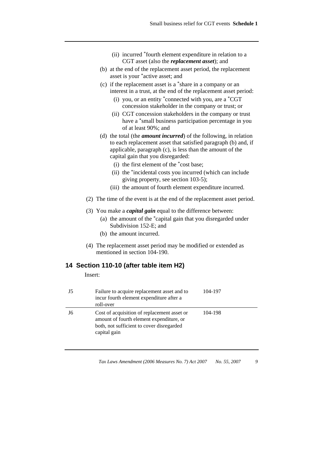- (ii) incurred \*fourth element expenditure in relation to a CGT asset (also the *replacement asset*); and
- (b) at the end of the replacement asset period, the replacement asset is your \*active asset; and
- (c) if the replacement asset is a \*share in a company or an interest in a trust, at the end of the replacement asset period:
	- (i) you, or an entity \*connected with you, are a \*CGT concession stakeholder in the company or trust; or
	- (ii) CGT concession stakeholders in the company or trust have a \*small business participation percentage in you of at least 90%; and
- (d) the total (the *amount incurred*) of the following, in relation to each replacement asset that satisfied paragraph (b) and, if applicable, paragraph (c), is less than the amount of the capital gain that you disregarded:
	- (i) the first element of the \*cost base;
	- (ii) the \*incidental costs you incurred (which can include giving property, see section 103-5);
	- (iii) the amount of fourth element expenditure incurred.
- (2) The time of the event is at the end of the replacement asset period.
- (3) You make a *capital gain* equal to the difference between:
	- (a) the amount of the \*capital gain that you disregarded under Subdivision 152-E; and
	- (b) the amount incurred.
- (4) The replacement asset period may be modified or extended as mentioned in section 104-190.

## **14 Section 110-10 (after table item H2)**

Insert:

| J5 | Failure to acquire replacement asset and to<br>incur fourth element expenditure after a<br>roll-over                                                 | 104-197 |
|----|------------------------------------------------------------------------------------------------------------------------------------------------------|---------|
| J6 | Cost of acquisition of replacement asset or<br>amount of fourth element expenditure, or<br>both, not sufficient to cover disregarded<br>capital gain | 104-198 |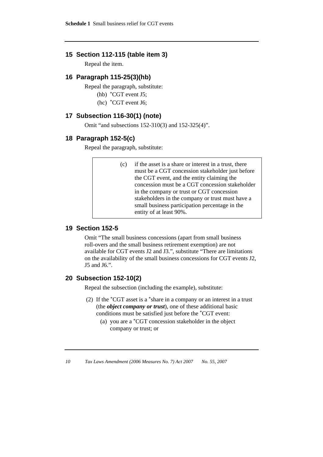### **15 Section 112-115 (table item 3)**

Repeal the item.

## **16 Paragraph 115-25(3)(hb)**

Repeal the paragraph, substitute:

- (hb) \*CGT event J5;
- (hc) \*CGT event J6;

## **17 Subsection 116-30(1) (note)**

Omit "and subsections 152-310(3) and 152-325(4)".

#### **18 Paragraph 152-5(c)**

Repeal the paragraph, substitute:

 (c) if the asset is a share or interest in a trust, there must be a CGT concession stakeholder just before the CGT event, and the entity claiming the concession must be a CGT concession stakeholder in the company or trust or CGT concession stakeholders in the company or trust must have a small business participation percentage in the entity of at least 90%.

# **19 Section 152-5**

Omit "The small business concessions (apart from small business roll-overs and the small business retirement exemption) are not available for CGT events J2 and J3.", substitute "There are limitations on the availability of the small business concessions for CGT events J2, J5 and J6.".

# **20 Subsection 152-10(2)**

Repeal the subsection (including the example), substitute:

- (2) If the \*CGT asset is a \*share in a company or an interest in a trust (the *object company or trust*), one of these additional basic conditions must be satisfied just before the \*CGT event:
	- (a) you are a \*CGT concession stakeholder in the object company or trust; or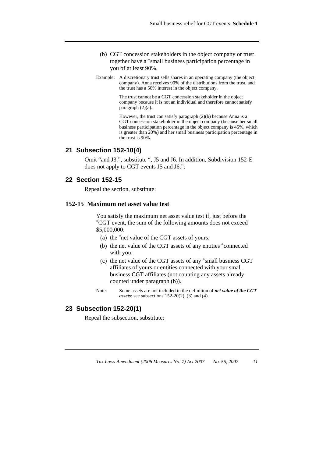- (b) CGT concession stakeholders in the object company or trust together have a \*small business participation percentage in you of at least 90%.
- Example: A discretionary trust sells shares in an operating company (the object company). Anna receives 90% of the distributions from the trust, and the trust has a 50% interest in the object company.

 The trust cannot be a CGT concession stakeholder in the object company because it is not an individual and therefore cannot satisfy paragraph (2)(a).

 However, the trust can satisfy paragraph (2)(b) because Anna is a CGT concession stakeholder in the object company (because her small business participation percentage in the object company is 45%, which is greater than 20%) and her small business participation percentage in the trust is 90%.

#### **21 Subsection 152-10(4)**

Omit "and J3.", substitute ", J5 and J6. In addition, Subdivision 152-E does not apply to CGT events J5 and J6.".

#### **22 Section 152-15**

Repeal the section, substitute:

#### **152-15 Maximum net asset value test**

 You satisfy the maximum net asset value test if, just before the \*CGT event, the sum of the following amounts does not exceed \$5,000,000:

- (a) the \*net value of the CGT assets of yours;
- (b) the net value of the CGT assets of any entities \*connected with you;
- (c) the net value of the CGT assets of any \*small business CGT affiliates of yours or entities connected with your small business CGT affiliates (not counting any assets already counted under paragraph (b)).
- Note: Some assets are not included in the definition of *net value of the CGT assets*: see subsections 152-20(2), (3) and (4).

# **23 Subsection 152-20(1)**

Repeal the subsection, substitute: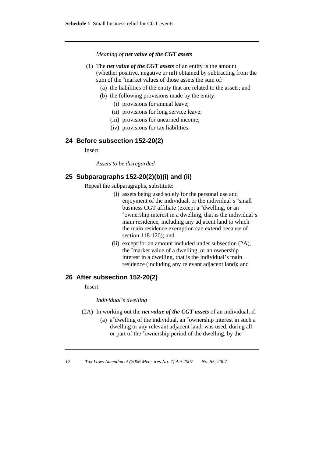*Meaning of net value of the CGT assets*

- (1) The *net value of the CGT assets* of an entity is the amount (whether positive, negative or nil) obtained by subtracting from the sum of the \*market values of those assets the sum of:
	- (a) the liabilities of the entity that are related to the assets; and
	- (b) the following provisions made by the entity:
		- (i) provisions for annual leave;
		- (ii) provisions for long service leave;
		- (iii) provisions for unearned income;
		- (iv) provisions for tax liabilities.

#### **24 Before subsection 152-20(2)**

Insert:

*Assets to be disregarded* 

#### **25 Subparagraphs 152-20(2)(b)(i) and (ii)**

Repeal the subparagraphs, substitute:

- (i) assets being used solely for the personal use and enjoyment of the individual, or the individual's \*small business CGT affiliate (except a \*dwelling, or an \*<br>\*ownership interest in a dwelling, that is the individual's main residence, including any adjacent land to which the main residence exemption can extend because of section 118-120); and
- (ii) except for an amount included under subsection (2A), the \*market value of a dwelling, or an ownership interest in a dwelling, that is the individual's main residence (including any relevant adjacent land); and

#### **26 After subsection 152-20(2)**

Insert:

*Individual's dwelling* 

- (2A) In working out the *net value of the CGT assets* of an individual, if:
	- (a) a\*dwelling of the individual, an \*ownership interest in such a dwelling or any relevant adjacent land, was used, during all or part of the \*ownership period of the dwelling, by the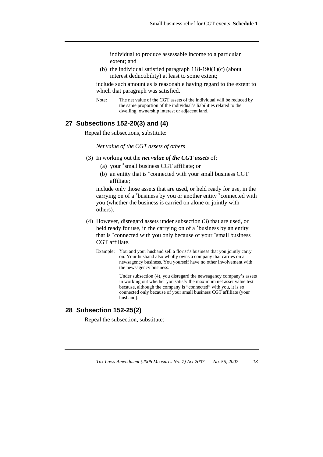individual to produce assessable income to a particular extent; and

(b) the individual satisfied paragraph  $118-190(1)$ (c) (about interest deductibility) at least to some extent;

include such amount as is reasonable having regard to the extent to which that paragraph was satisfied.

Note: The net value of the CGT assets of the individual will be reduced by the same proportion of the individual's liabilities related to the dwelling, ownership interest or adjacent land.

## **27 Subsections 152-20(3) and (4)**

Repeal the subsections, substitute:

*Net value of the CGT assets of others* 

- (3) In working out the *net value of the CGT assets* of:
	- (a) your \*small business CGT affiliate; or
	- (b) an entity that is \*connected with your small business CGT affiliate;

include only those assets that are used, or held ready for use, in the carrying on of a \*business by you or another entity \*connected with you (whether the business is carried on alone or jointly with others).

- (4) However, disregard assets under subsection (3) that are used, or held ready for use, in the carrying on of a \*business by an entity that is \*connected with you only because of your \*small business CGT affiliate.
	- Example: You and your husband sell a florist's business that you jointly carry on. Your husband also wholly owns a company that carries on a newsagency business. You yourself have no other involvement with the newsagency business.

 Under subsection (4), you disregard the newsagency company's assets in working out whether you satisfy the maximum net asset value test because, although the company is "connected" with you, it is so connected only because of your small business CGT affiliate (your husband).

### **28 Subsection 152-25(2)**

Repeal the subsection, substitute: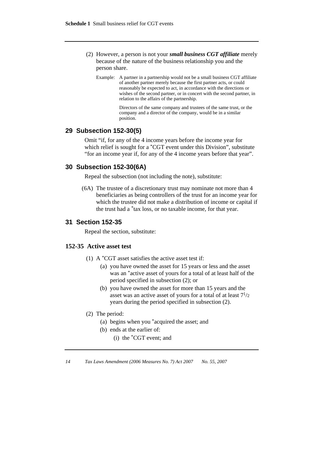- (2) However, a person is not your *small business CGT affiliate* merely because of the nature of the business relationship you and the person share.
	- Example: A partner in a partnership would not be a small business CGT affiliate of another partner merely because the first partner acts, or could reasonably be expected to act, in accordance with the directions or wishes of the second partner, or in concert with the second partner, in relation to the affairs of the partnership.

 Directors of the same company and trustees of the same trust, or the company and a director of the company, would be in a similar position.

### **29 Subsection 152-30(5)**

Omit "if, for any of the 4 income years before the income year for which relief is sought for a <sup>\*</sup>CGT event under this Division", substitute "for an income year if, for any of the 4 income years before that year".

### **30 Subsection 152-30(6A)**

Repeal the subsection (not including the note), substitute:

 (6A) The trustee of a discretionary trust may nominate not more than 4 beneficiaries as being controllers of the trust for an income year for which the trustee did not make a distribution of income or capital if the trust had a \*tax loss, or no taxable income, for that year.

### **31 Section 152-35**

Repeal the section, substitute:

### **152-35 Active asset test**

- (1) A  $^*$ CGT asset satisfies the active asset test if:
	- (a) you have owned the asset for 15 years or less and the asset was an \*active asset of yours for a total of at least half of the period specified in subsection (2); or
	- (b) you have owned the asset for more than 15 years and the asset was an active asset of yours for a total of at least  $7^{1/2}$ years during the period specified in subsection (2).
- (2) The period:
	- (a) begins when you \*acquired the asset; and
	- (b) ends at the earlier of:
		- (i) the \*CGT event; and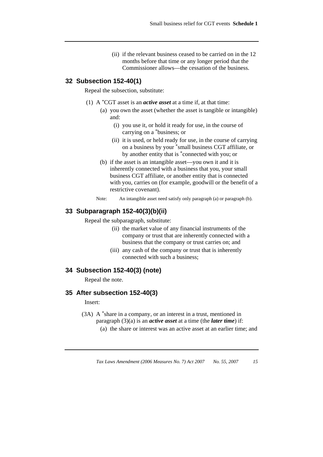(ii) if the relevant business ceased to be carried on in the 12 months before that time or any longer period that the Commissioner allows—the cessation of the business.

#### **32 Subsection 152-40(1)**

Repeal the subsection, substitute:

- (1) A \*CGT asset is an *active asset* at a time if, at that time:
	- (a) you own the asset (whether the asset is tangible or intangible) and:
		- (i) you use it, or hold it ready for use, in the course of carrying on a \*business; or
		- (ii) it is used, or held ready for use, in the course of carrying on a business by your \*small business CGT affiliate, or by another entity that is \*connected with you; or
	- (b) if the asset is an intangible asset—you own it and it is inherently connected with a business that you, your small business CGT affiliate, or another entity that is connected with you, carries on (for example, goodwill or the benefit of a restrictive covenant).
	- Note: An intangible asset need satisfy only paragraph (a) or paragraph (b).

# **33 Subparagraph 152-40(3)(b)(ii)**

Repeal the subparagraph, substitute:

- (ii) the market value of any financial instruments of the company or trust that are inherently connected with a business that the company or trust carries on; and
- (iii) any cash of the company or trust that is inherently connected with such a business;

# **34 Subsection 152-40(3) (note)**

Repeal the note.

#### **35 After subsection 152-40(3)**

Insert:

- (3A) A \*share in a company, or an interest in a trust, mentioned in paragraph (3)(a) is an *active asset* at a time (the *later time*) if:
	- (a) the share or interest was an active asset at an earlier time; and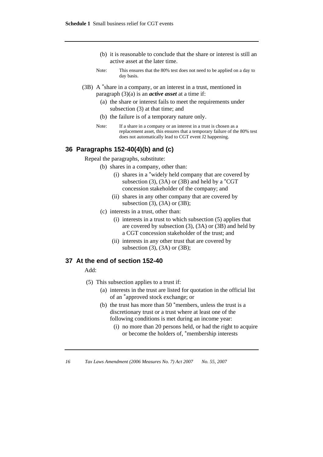- (b) it is reasonable to conclude that the share or interest is still an active asset at the later time.
- Note: This ensures that the 80% test does not need to be applied on a day to day basis.
- (3B) A \*share in a company, or an interest in a trust, mentioned in paragraph (3)(a) is an *active asset* at a time if:
	- (a) the share or interest fails to meet the requirements under subsection (3) at that time; and
	- (b) the failure is of a temporary nature only.
	- Note: If a share in a company or an interest in a trust is chosen as a replacement asset, this ensures that a temporary failure of the 80% test does not automatically lead to CGT event J2 happening.

#### **36 Paragraphs 152-40(4)(b) and (c)**

Repeal the paragraphs, substitute:

- (b) shares in a company, other than:
	- (i) shares in a \*widely held company that are covered by subsection (3), (3A) or (3B) and held by a  $^*CGT$ concession stakeholder of the company; and
	- (ii) shares in any other company that are covered by subsection (3), (3A) or (3B);
- (c) interests in a trust, other than:
	- (i) interests in a trust to which subsection (5) applies that are covered by subsection (3), (3A) or (3B) and held by a CGT concession stakeholder of the trust; and
	- (ii) interests in any other trust that are covered by subsection  $(3)$ ,  $(3A)$  or  $(3B)$ ;

## **37 At the end of section 152-40**

Add:

- (5) This subsection applies to a trust if:
	- (a) interests in the trust are listed for quotation in the official list of an \*approved stock exchange; or
	- (b) the trust has more than 50 \*members, unless the trust is a discretionary trust or a trust where at least one of the following conditions is met during an income year:
		- (i) no more than 20 persons held, or had the right to acquire or become the holders of, \*membership interests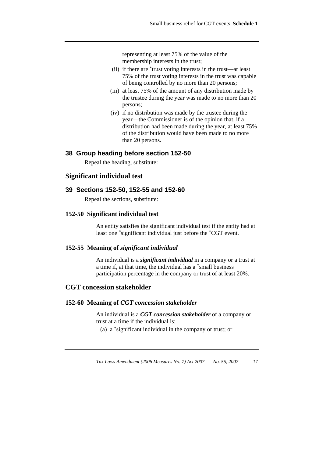representing at least 75% of the value of the membership interests in the trust;

- (ii) if there are \*trust voting interests in the trust—at least 75% of the trust voting interests in the trust was capable of being controlled by no more than 20 persons;
- (iii) at least 75% of the amount of any distribution made by the trustee during the year was made to no more than 20 persons;
- (iv) if no distribution was made by the trustee during the year—the Commissioner is of the opinion that, if a distribution had been made during the year, at least 75% of the distribution would have been made to no more than 20 persons.

## **38 Group heading before section 152-50**

Repeal the heading, substitute:

# **Significant individual test**

#### **39 Sections 152-50, 152-55 and 152-60**

Repeal the sections, substitute:

#### **152-50 Significant individual test**

 An entity satisfies the significant individual test if the entity had at least one \*significant individual just before the \*CGT event.

#### **152-55 Meaning of** *significant individual*

 An individual is a *significant individual* in a company or a trust at a time if, at that time, the individual has a \*small business participation percentage in the company or trust of at least 20%.

#### **CGT concession stakeholder**

#### **152-60 Meaning of** *CGT concession stakeholder*

 An individual is a *CGT concession stakeholder* of a company or trust at a time if the individual is:

(a) a \*significant individual in the company or trust; or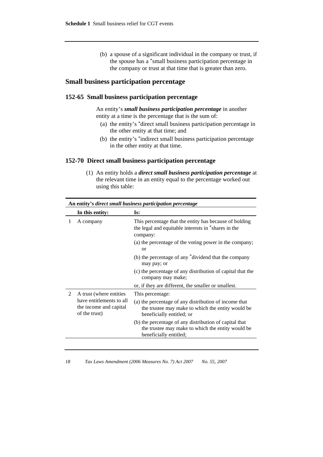(b) a spouse of a significant individual in the company or trust, if the spouse has a \*small business participation percentage in the company or trust at that time that is greater than zero.

## **Small business participation percentage**

#### **152-65 Small business participation percentage**

 An entity's *small business participation percentage* in another entity at a time is the percentage that is the sum of:

- (a) the entity's \*direct small business participation percentage in the other entity at that time; and
- (b) the entity's \*indirect small business participation percentage in the other entity at that time.

#### **152-70 Direct small business participation percentage**

 (1) An entity holds a *direct small business participation percentage* at the relevant time in an entity equal to the percentage worked out using this table:

|   | In this entity:                                                     | Is:                                                                                                                                     |
|---|---------------------------------------------------------------------|-----------------------------------------------------------------------------------------------------------------------------------------|
| 1 | A company                                                           | This percentage that the entity has because of holding<br>the legal and equitable interests in *shares in the<br>company:               |
|   |                                                                     | (a) the percentage of the voting power in the company;<br><sub>or</sub>                                                                 |
|   |                                                                     | (b) the percentage of any *dividend that the company<br>may pay; or                                                                     |
|   |                                                                     | (c) the percentage of any distribution of capital that the<br>company may make;                                                         |
|   |                                                                     | or, if they are different, the smaller or smallest.                                                                                     |
| 2 | A trust (where entities                                             | This percentage:                                                                                                                        |
|   | have entitlements to all<br>the income and capital<br>of the trust) | (a) the percentage of any distribution of income that<br>the trustee may make to which the entity would be<br>beneficially entitled; or |
|   |                                                                     | (b) the percentage of any distribution of capital that<br>the trustee may make to which the entity would be<br>beneficially entitled;   |

# **An entity's** *direct small business participation percentage*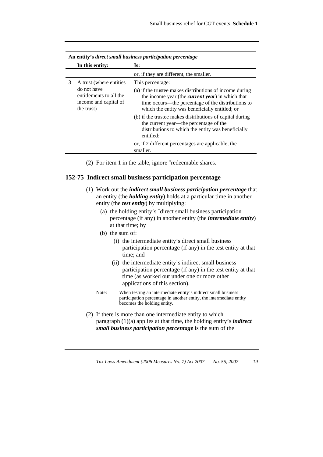|   | An entity's direct small business participation percentage                    |                                                                                                                                                                                                                             |  |
|---|-------------------------------------------------------------------------------|-----------------------------------------------------------------------------------------------------------------------------------------------------------------------------------------------------------------------------|--|
|   | In this entity:                                                               | Is:                                                                                                                                                                                                                         |  |
|   |                                                                               | or, if they are different, the smaller.                                                                                                                                                                                     |  |
| 3 | A trust (where entities                                                       | This percentage:                                                                                                                                                                                                            |  |
|   | do not have<br>entitlements to all the<br>income and capital of<br>the trust) | (a) if the trustee makes distributions of income during<br>the income year (the <i>current year</i> ) in which that<br>time occurs—the percentage of the distributions to<br>which the entity was beneficially entitled; or |  |
|   |                                                                               | (b) if the trustee makes distributions of capital during<br>the current year—the percentage of the<br>distributions to which the entity was beneficially<br>entitled:                                                       |  |
|   |                                                                               | or, if 2 different percentages are applicable, the<br>smaller.                                                                                                                                                              |  |

(2) For item 1 in the table, ignore \*redeemable shares.

#### **152-75 Indirect small business participation percentage**

- (1) Work out the *indirect small business participation percentage* that an entity (the *holding entity*) holds at a particular time in another entity (the *test entity*) by multiplying:
	- (a) the holding entity's \*direct small business participation percentage (if any) in another entity (the *intermediate entity*) at that time; by
	- (b) the sum of:
		- (i) the intermediate entity's direct small business participation percentage (if any) in the test entity at that time; and
		- (ii) the intermediate entity's indirect small business participation percentage (if any) in the test entity at that time (as worked out under one or more other applications of this section).
	- Note: When testing an intermediate entity's indirect small business participation percentage in another entity, the intermediate entity becomes the holding entity.
- (2) If there is more than one intermediate entity to which paragraph (1)(a) applies at that time, the holding entity's *indirect small business participation percentage* is the sum of the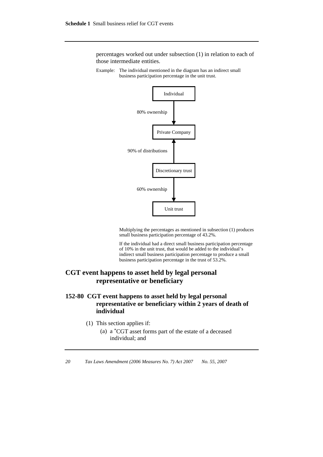percentages worked out under subsection (1) in relation to each of those intermediate entities.

Example: The individual mentioned in the diagram has an indirect small business participation percentage in the unit trust.



 Multiplying the percentages as mentioned in subsection (1) produces small business participation percentage of 43.2%.

 If the individual had a direct small business participation percentage of 10% in the unit trust, that would be added to the individual's indirect small business participation percentage to produce a small business participation percentage in the trust of 53.2%.

# **CGT event happens to asset held by legal personal representative or beneficiary**

# **152-80 CGT event happens to asset held by legal personal representative or beneficiary within 2 years of death of individual**

- (1) This section applies if:
	- (a) a \*CGT asset forms part of the estate of a deceased individual; and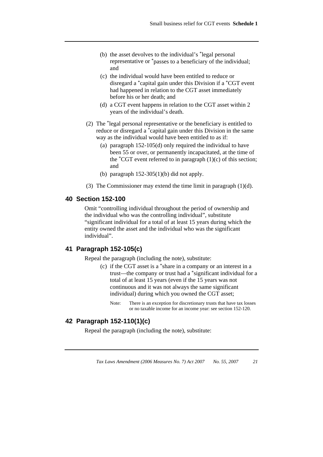- (b) the asset devolves to the individual's \*legal personal representative or \*passes to a beneficiary of the individual; and
- (c) the individual would have been entitled to reduce or disregard a \*capital gain under this Division if a \*CGT event had happened in relation to the CGT asset immediately before his or her death; and
- (d) a CGT event happens in relation to the CGT asset within 2 years of the individual's death.
- (2) The \*legal personal representative or the beneficiary is entitled to reduce or disregard a \*capital gain under this Division in the same way as the individual would have been entitled to as if:
	- (a) paragraph 152-105(d) only required the individual to have been 55 or over, or permanently incapacitated, at the time of the  $^{\ast}CGT$  event referred to in paragraph (1)(c) of this section; and
	- (b) paragraph  $152-305(1)$ (b) did not apply.
- (3) The Commissioner may extend the time limit in paragraph (1)(d).

## **40 Section 152-100**

Omit "controlling individual throughout the period of ownership and the individual who was the controlling individual", substitute "significant individual for a total of at least 15 years during which the entity owned the asset and the individual who was the significant individual".

# **41 Paragraph 152-105(c)**

Repeal the paragraph (including the note), substitute:

- (c) if the CGT asset is a \*share in a company or an interest in a trust—the company or trust had a \*significant individual for a total of at least 15 years (even if the 15 years was not continuous and it was not always the same significant individual) during which you owned the CGT asset;
	- Note: There is an exception for discretionary trusts that have tax losses or no taxable income for an income year: see section 152-120.

## **42 Paragraph 152-110(1)(c)**

Repeal the paragraph (including the note), substitute: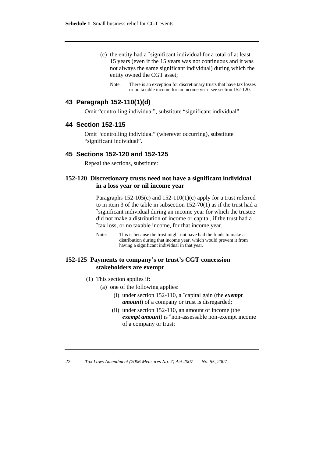- (c) the entity had a \*significant individual for a total of at least 15 years (even if the 15 years was not continuous and it was not always the same significant individual) during which the entity owned the CGT asset;
	- Note: There is an exception for discretionary trusts that have tax losses or no taxable income for an income year: see section 152-120.

## **43 Paragraph 152-110(1)(d)**

Omit "controlling individual", substitute "significant individual".

## **44 Section 152-115**

Omit "controlling individual" (wherever occurring), substitute "significant individual".

#### **45 Sections 152-120 and 152-125**

Repeal the sections, substitute:

## **152-120 Discretionary trusts need not have a significant individual in a loss year or nil income year**

 Paragraphs 152-105(c) and 152-110(1)(c) apply for a trust referred to in item 3 of the table in subsection 152-70(1) as if the trust had a \*significant individual during an income year for which the trustee did not make a distribution of income or capital, if the trust had a \*tax loss, or no taxable income, for that income year.

# **152-125 Payments to company's or trust's CGT concession stakeholders are exempt**

- (1) This section applies if:
	- (a) one of the following applies:
		- (i) under section 152-110, a \*capital gain (the *exempt amount*) of a company or trust is disregarded;
		- (ii) under section 152-110, an amount of income (the *exempt amount*) is \*non-assessable non-exempt income of a company or trust;

Note: This is because the trust might not have had the funds to make a distribution during that income year, which would prevent it from having a significant individual in that year.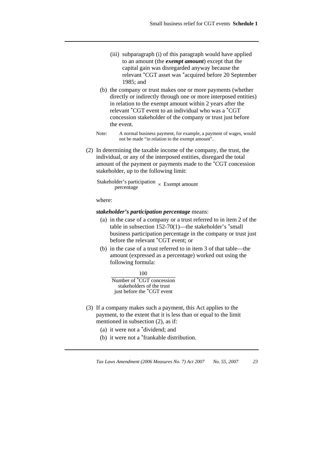- (iii) subparagraph (i) of this paragraph would have applied to an amount (the *exempt amount*) except that the capital gain was disregarded anyway because the relevant \*CGT asset was \*acquired before 20 September 1985; and
- (b) the company or trust makes one or more payments (whether directly or indirectly through one or more interposed entities) in relation to the exempt amount within 2 years after the relevant \*CGT event to an individual who was a \*CGT concession stakeholder of the company or trust just before the event.
- Note: A normal business payment, for example, a payment of wages, would not be made "in relation to the exempt amount".
- (2) In determining the taxable income of the company, the trust, the individual, or any of the interposed entities, disregard the total amount of the payment or payments made to the \*CGT concession stakeholder, up to the following limit:

Stakeholder's participation  $\times$  Exempt amount

where:

#### *stakeholder's participation percentage* means:

- (a) in the case of a company or a trust referred to in item 2 of the table in subsection  $152-70(1)$ —the stakeholder's  $*$ small business participation percentage in the company or trust just before the relevant \*CGT event; or
- (b) in the case of a trust referred to in item 3 of that table—the amount (expressed as a percentage) worked out using the following formula:

100

Number of \*CGT concession just before the \*CGT event stakeholders of the trust

- (3) If a company makes such a payment, this Act applies to the payment, to the extent that it is less than or equal to the limit mentioned in subsection (2), as if:
	- (a) it were not a \*dividend; and
	- (b) it were not a \*frankable distribution.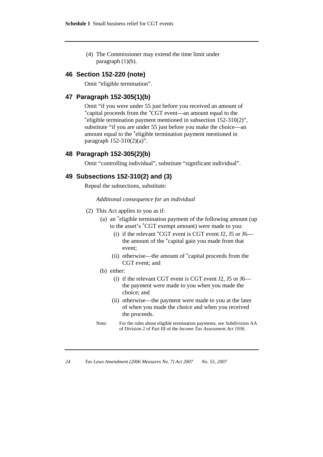(4) The Commissioner may extend the time limit under paragraph  $(1)(b)$ .

#### **46 Section 152-220 (note)**

Omit "eligible termination".

### **47 Paragraph 152-305(1)(b)**

Omit "if you were under 55 just before you received an amount of \*capital proceeds from the \*CGT event—an amount equal to the \*eligible termination payment mentioned in subsection 152-310(2)", substitute "if you are under 55 just before you make the choice—an amount equal to the \*eligible termination payment mentioned in paragraph 152-310(2)(a)".

#### **48 Paragraph 152-305(2)(b)**

Omit "controlling individual", substitute "significant individual".

#### **49 Subsections 152-310(2) and (3)**

Repeal the subsections, substitute:

#### *Additional consequence for an individual*

- (2) This Act applies to you as if:
	- (a) an \*eligible termination payment of the following amount (up to the asset's \*CGT exempt amount) were made to you:
		- (i) if the relevant  $^*CGT$  event is CGT event J2, J5 or J6 the amount of the \*capital gain you made from that event;
		- (ii) otherwise—the amount of \*capital proceeds from the CGT event; and
	- (b) either:
		- (i) if the relevant CGT event is CGT event J2, J5 or J6 the payment were made to you when you made the choice; and
		- (ii) otherwise—the payment were made to you at the later of when you made the choice and when you received the proceeds.
	- Note: For the rules about eligible termination payments, see Subdivision AA of Division 2 of Part III of the *Income Tax Assessment Act 1936*.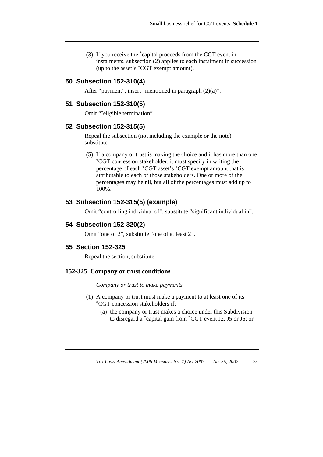(3) If you receive the \*capital proceeds from the CGT event in instalments, subsection (2) applies to each instalment in succession (up to the asset's \*CGT exempt amount).

## **50 Subsection 152-310(4)**

After "payment", insert "mentioned in paragraph (2)(a)".

# **51 Subsection 152-310(5)**

Omit "\*eligible termination".

#### **52 Subsection 152-315(5)**

Repeal the subsection (not including the example or the note), substitute:

 (5) If a company or trust is making the choice and it has more than one \*CGT concession stakeholder, it must specify in writing the percentage of each \*CGT asset's \*CGT exempt amount that is attributable to each of those stakeholders. One or more of the percentages may be nil, but all of the percentages must add up to 100%.

# **53 Subsection 152-315(5) (example)**

Omit "controlling individual of", substitute "significant individual in".

#### **54 Subsection 152-320(2)**

Omit "one of 2", substitute "one of at least 2".

#### **55 Section 152-325**

Repeal the section, substitute:

#### **152-325 Company or trust conditions**

*Company or trust to make payments* 

- (1) A company or trust must make a payment to at least one of its \*CGT concession stakeholders if:
	- (a) the company or trust makes a choice under this Subdivision to disregard a \*capital gain from \*CGT event J2, J5 or J6; or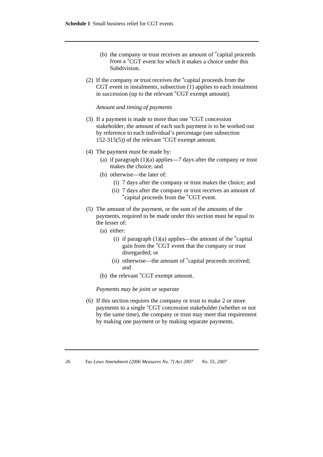- (b) the company or trust receives an amount of \*capital proceeds from a \*CGT event for which it makes a choice under this Subdivision.
- (2) If the company or trust receives the \*capital proceeds from the CGT event in instalments, subsection (1) applies to each instalment in succession (up to the relevant \*CGT exempt amount).

#### *Amount and timing of payments*

- (3) If a payment is made to more than one \*CGT concession stakeholder, the amount of each such payment is to be worked out by reference to each individual's percentage (see subsection 152-315(5)) of the relevant \*CGT exempt amount.
- (4) The payment must be made by:
	- (a) if paragraph  $(1)(a)$  applies—7 days after the company or trust makes the choice; and
	- (b) otherwise—the later of:
		- (i) 7 days after the company or trust makes the choice; and
		- (ii) 7 days after the company or trust receives an amount of \*capital proceeds from the \*CGT event.
- (5) The amount of the payment, or the sum of the amounts of the payments, required to be made under this section must be equal to the lesser of:
	- (a) either:
		- (i) if paragraph  $(1)(a)$  applies—the amount of the  $\alpha$ <sup>\*</sup>capital gain from the \*CGT event that the company or trust disregarded; or
		- (ii) otherwise—the amount of \*capital proceeds received; and
	- (b) the relevant \*CGT exempt amount.

*Payments may be joint or separate* 

 (6) If this section requires the company or trust to make 2 or more payments to a single \*CGT concession stakeholder (whether or not by the same time), the company or trust may meet that requirement by making one payment or by making separate payments.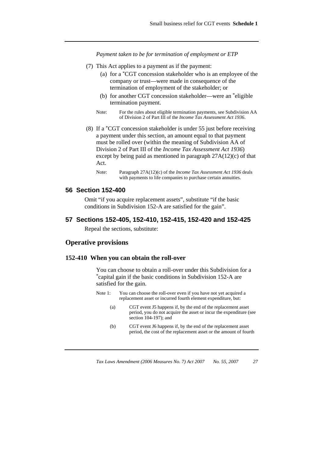*Payment taken to be for termination of employment or ETP* 

- (7) This Act applies to a payment as if the payment:
	- (a) for a \*CGT concession stakeholder who is an employee of the company or trust—were made in consequence of the termination of employment of the stakeholder; or
	- (b) for another CGT concession stakeholder—were an \*eligible termination payment.
	- Note: For the rules about eligible termination payments, see Subdivision AA of Division 2 of Part III of the *Income Tax Assessment Act 1936*.
- (8) If a \*CGT concession stakeholder is under 55 just before receiving a payment under this section, an amount equal to that payment must be rolled over (within the meaning of Subdivision AA of Division 2 of Part III of the *Income Tax Assessment Act 1936*) except by being paid as mentioned in paragraph 27A(12)(c) of that Act.

Note: Paragraph 27A(12)(c) of the *Income Tax Assessment Act 1936* deals with payments to life companies to purchase certain annuities.

#### **56 Section 152-400**

Omit "if you acquire replacement assets", substitute "if the basic conditions in Subdivision 152-A are satisfied for the gain".

#### **57 Sections 152-405, 152-410, 152-415, 152-420 and 152-425**

Repeal the sections, substitute:

#### **Operative provisions**

#### **152-410 When you can obtain the roll-over**

You can choose to obtain a roll-over under this Subdivision for a \*capital gain if the basic conditions in Subdivision 152-A are satisfied for the gain.

- Note 1: You can choose the roll-over even if you have not yet acquired a replacement asset or incurred fourth element expenditure, but:
	- (a) CGT event J5 happens if, by the end of the replacement asset period, you do not acquire the asset or incur the expenditure (see section 104-197); and
	- (b) CGT event J6 happens if, by the end of the replacement asset period, the cost of the replacement asset or the amount of fourth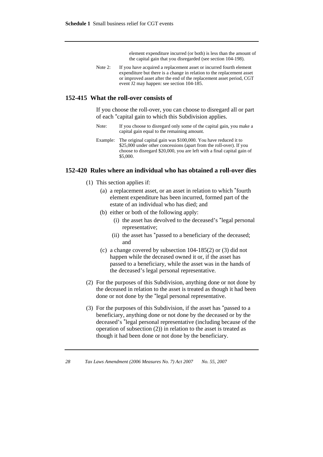element expenditure incurred (or both) is less than the amount of the capital gain that you disregarded (see section 104-198).

Note 2: If you have acquired a replacement asset or incurred fourth element expenditure but there is a change in relation to the replacement asset or improved asset after the end of the replacement asset period, CGT event J2 may happen: see section 104-185.

#### **152-415 What the roll-over consists of**

 If you choose the roll-over, you can choose to disregard all or part of each \*capital gain to which this Subdivision applies.

- Note: If you choose to disregard only some of the capital gain, you make a capital gain equal to the remaining amount.
- Example: The original capital gain was \$100,000. You have reduced it to \$25,000 under other concessions (apart from the roll-over). If you choose to disregard \$20,000, you are left with a final capital gain of \$5,000.

#### **152-420 Rules where an individual who has obtained a roll-over dies**

- (1) This section applies if:
	- (a) a replacement asset, or an asset in relation to which \*fourth element expenditure has been incurred, formed part of the estate of an individual who has died; and
	- (b) either or both of the following apply:
		- (i) the asset has devolved to the deceased's \*legal personal representative;
		- (ii) the asset has \*passed to a beneficiary of the deceased; and
	- (c) a change covered by subsection 104-185(2) or (3) did not happen while the deceased owned it or, if the asset has passed to a beneficiary, while the asset was in the hands of the deceased's legal personal representative.
- (2) For the purposes of this Subdivision, anything done or not done by the deceased in relation to the asset is treated as though it had been done or not done by the \*legal personal representative.
- (3) For the purposes of this Subdivision, if the asset has \*passed to a beneficiary, anything done or not done by the deceased or by the deceased's \*legal personal representative (including because of the operation of subsection (2)) in relation to the asset is treated as though it had been done or not done by the beneficiary.

*<sup>28</sup> Tax Laws Amendment (2006 Measures No. 7) Act 2007 No. 55, 2007*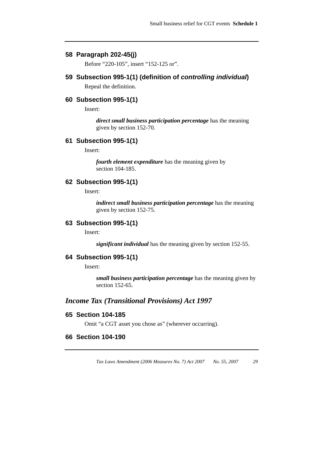#### **58 Paragraph 202-45(j)**

Before "220-105", insert "152-125 or".

## **59 Subsection 995-1(1) (definition of** *controlling individual***)**

Repeal the definition.

### **60 Subsection 995-1(1)**

Insert:

*direct small business participation percentage* has the meaning given by section 152-70.

## **61 Subsection 995-1(1)**

Insert:

*fourth element expenditure* has the meaning given by section 104-185.

# **62 Subsection 995-1(1)**

Insert:

*indirect small business participation percentage* has the meaning given by section 152-75.

## **63 Subsection 995-1(1)**

Insert:

*significant individual* has the meaning given by section 152-55.

#### **64 Subsection 995-1(1)**

Insert:

*small business participation percentage* has the meaning given by section 152-65.

# *Income Tax (Transitional Provisions) Act 1997*

#### **65 Section 104-185**

Omit "a CGT asset you chose as" (wherever occurring).

#### **66 Section 104-190**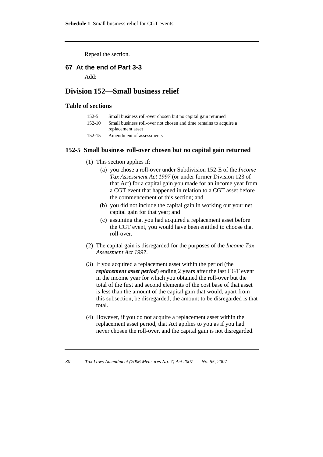Repeal the section.

#### **67 At the end of Part 3-3**

Add:

# **Division 152—Small business relief**

#### **Table of sections**

| $152 - 5$ | Small business roll-over chosen but no capital gain returned |  |
|-----------|--------------------------------------------------------------|--|
|-----------|--------------------------------------------------------------|--|

- 152-10 Small business roll-over not chosen and time remains to acquire a replacement asset
- 152-15 Amendment of assessments

#### **152-5 Small business roll-over chosen but no capital gain returned**

- (1) This section applies if:
	- (a) you chose a roll-over under Subdivision 152-E of the *Income Tax Assessment Act 1997* (or under former Division 123 of that Act) for a capital gain you made for an income year from a CGT event that happened in relation to a CGT asset before the commencement of this section; and
	- (b) you did not include the capital gain in working out your net capital gain for that year; and
	- (c) assuming that you had acquired a replacement asset before the CGT event, you would have been entitled to choose that roll-over.
- (2) The capital gain is disregarded for the purposes of the *Income Tax Assessment Act 1997*.
- (3) If you acquired a replacement asset within the period (the *replacement asset period*) ending 2 years after the last CGT event in the income year for which you obtained the roll-over but the total of the first and second elements of the cost base of that asset is less than the amount of the capital gain that would, apart from this subsection, be disregarded, the amount to be disregarded is that total.
- (4) However, if you do not acquire a replacement asset within the replacement asset period, that Act applies to you as if you had never chosen the roll-over, and the capital gain is not disregarded.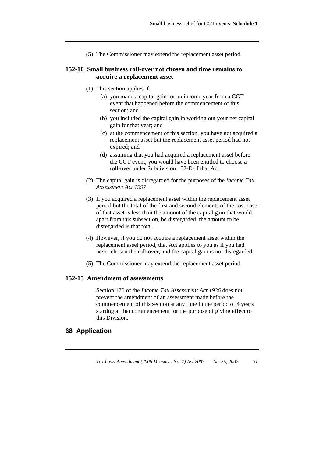(5) The Commissioner may extend the replacement asset period.

### **152-10 Small business roll-over not chosen and time remains to acquire a replacement asset**

- (1) This section applies if:
	- (a) you made a capital gain for an income year from a CGT event that happened before the commencement of this section; and
	- (b) you included the capital gain in working out your net capital gain for that year; and
	- (c) at the commencement of this section, you have not acquired a replacement asset but the replacement asset period had not expired; and
	- (d) assuming that you had acquired a replacement asset before the CGT event, you would have been entitled to choose a roll-over under Subdivision 152-E of that Act.
- (2) The capital gain is disregarded for the purposes of the *Income Tax Assessment Act 1997*.
- (3) If you acquired a replacement asset within the replacement asset period but the total of the first and second elements of the cost base of that asset is less than the amount of the capital gain that would, apart from this subsection, be disregarded, the amount to be disregarded is that total.
- (4) However, if you do not acquire a replacement asset within the replacement asset period, that Act applies to you as if you had never chosen the roll-over, and the capital gain is not disregarded.
- (5) The Commissioner may extend the replacement asset period.

### **152-15 Amendment of assessments**

 Section 170 of the *Income Tax Assessment Act 1936* does not prevent the amendment of an assessment made before the commencement of this section at any time in the period of 4 years starting at that commencement for the purpose of giving effect to this Division.

### **68 Application**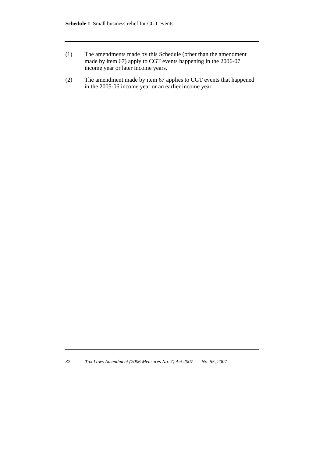- (1) The amendments made by this Schedule (other than the amendment made by item 67) apply to CGT events happening in the 2006-07 income year or later income years.
- (2) The amendment made by item 67 applies to CGT events that happened in the 2005-06 income year or an earlier income year.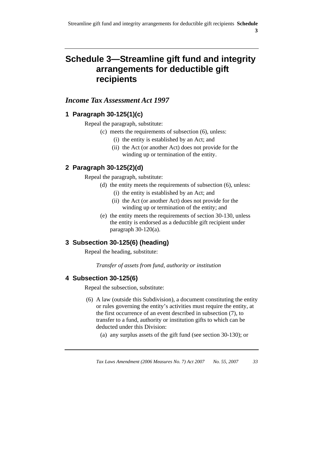# **Schedule 3—Streamline gift fund and integrity arrangements for deductible gift recipients**

# *Income Tax Assessment Act 1997*

# **1 Paragraph 30-125(1)(c)**

Repeal the paragraph, substitute:

- (c) meets the requirements of subsection (6), unless:
	- (i) the entity is established by an Act; and
	- (ii) the Act (or another Act) does not provide for the winding up or termination of the entity.

# **2 Paragraph 30-125(2)(d)**

Repeal the paragraph, substitute:

- (d) the entity meets the requirements of subsection (6), unless:
	- (i) the entity is established by an Act; and
	- (ii) the Act (or another Act) does not provide for the winding up or termination of the entity; and
- (e) the entity meets the requirements of section 30-130, unless the entity is endorsed as a deductible gift recipient under paragraph 30-120(a).

# **3 Subsection 30-125(6) (heading)**

Repeal the heading, substitute:

*Transfer of assets from fund, authority or institution* 

# **4 Subsection 30-125(6)**

Repeal the subsection, substitute:

- (6) A law (outside this Subdivision), a document constituting the entity or rules governing the entity's activities must require the entity, at the first occurrence of an event described in subsection (7), to transfer to a fund, authority or institution gifts to which can be deducted under this Division:
	- (a) any surplus assets of the gift fund (see section 30-130); or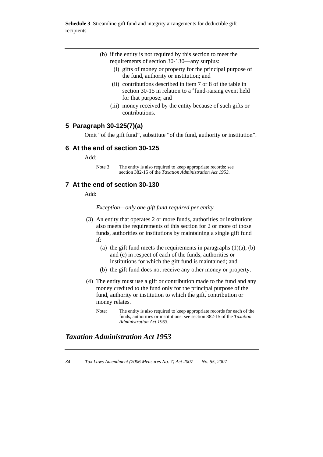**Schedule 3** Streamline gift fund and integrity arrangements for deductible gift recipients

- (b) if the entity is not required by this section to meet the requirements of section 30-130—any surplus:
	- (i) gifts of money or property for the principal purpose of the fund, authority or institution; and
	- (ii) contributions described in item 7 or 8 of the table in section 30-15 in relation to a \*fund-raising event held for that purpose; and
	- (iii) money received by the entity because of such gifts or contributions.

## **5 Paragraph 30-125(7)(a)**

Omit "of the gift fund", substitute "of the fund, authority or institution".

#### **6 At the end of section 30-125**

Add:

Note 3: The entity is also required to keep appropriate records: see section 382-15 of the *Taxation Administration Act 1953.* 

# **7 At the end of section 30-130**

Add:

*Exception—only one gift fund required per entity* 

- (3) An entity that operates 2 or more funds, authorities or institutions also meets the requirements of this section for 2 or more of those funds, authorities or institutions by maintaining a single gift fund if:
	- (a) the gift fund meets the requirements in paragraphs  $(1)(a)$ ,  $(b)$ and (c) in respect of each of the funds, authorities or institutions for which the gift fund is maintained; and
	- (b) the gift fund does not receive any other money or property.
- (4) The entity must use a gift or contribution made to the fund and any money credited to the fund only for the principal purpose of the fund, authority or institution to which the gift, contribution or money relates.
	- Note: The entity is also required to keep appropriate records for each of the funds, authorities or institutions: see section 382-15 of the *Taxation Administration Act 1953.*

# *Taxation Administration Act 1953*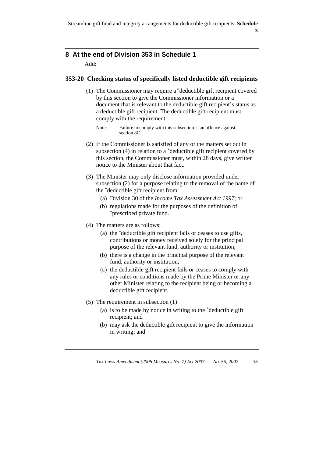# **8 At the end of Division 353 in Schedule 1**

Add:

# **353-20 Checking status of specifically listed deductible gift recipients**

 (1) The Commissioner may require a \*deductible gift recipient covered by this section to give the Commissioner information or a document that is relevant to the deductible gift recipient's status as a deductible gift recipient. The deductible gift recipient must comply with the requirement.

- (2) If the Commissioner is satisfied of any of the matters set out in subsection (4) in relation to a \*deductible gift recipient covered by this section, the Commissioner must, within 28 days, give written notice to the Minister about that fact.
- (3) The Minister may only disclose information provided under subsection (2) for a purpose relating to the removal of the name of the \*deductible gift recipient from:
	- (a) Division 30 of the *Income Tax Assessment Act 1997*; or
	- (b) regulations made for the purposes of the definition of \*prescribed private fund.
- (4) The matters are as follows:
	- (a) the \*deductible gift recipient fails or ceases to use gifts, contributions or money received solely for the principal purpose of the relevant fund, authority or institution;
	- (b) there is a change in the principal purpose of the relevant fund, authority or institution;
	- (c) the deductible gift recipient fails or ceases to comply with any rules or conditions made by the Prime Minister or any other Minister relating to the recipient being or becoming a deductible gift recipient.
- (5) The requirement in subsection (1):
	- (a) is to be made by notice in writing to the \*deductible gift recipient; and
	- (b) may ask the deductible gift recipient to give the information in writing; and

Note: Failure to comply with this subsection is an offence against section 8C.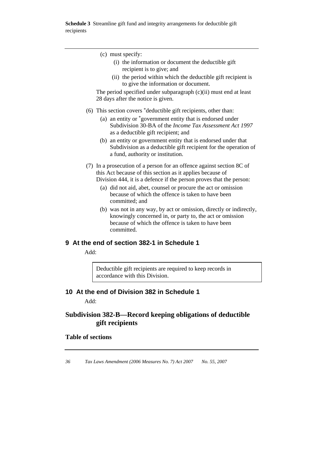**Schedule 3** Streamline gift fund and integrity arrangements for deductible gift recipients

L,

| (c) must specify:                                                                                                                                                                                   |
|-----------------------------------------------------------------------------------------------------------------------------------------------------------------------------------------------------|
| (i) the information or document the deductible gift<br>recipient is to give; and                                                                                                                    |
| (ii) the period within which the deductible gift recipient is<br>to give the information or document.                                                                                               |
| The period specified under subparagraph (c)(ii) must end at least<br>28 days after the notice is given.                                                                                             |
| (6) This section covers *deductible gift recipients, other than:                                                                                                                                    |
| (a) an entity or *government entity that is endorsed under<br>Subdivision 30-BA of the Income Tax Assessment Act 1997<br>as a deductible gift recipient; and                                        |
| (b) an entity or government entity that is endorsed under that<br>Subdivision as a deductible gift recipient for the operation of<br>a fund, authority or institution.                              |
| (7) In a prosecution of a person for an offence against section 8C of                                                                                                                               |
| this Act because of this section as it applies because of                                                                                                                                           |
| Division 444, it is a defence if the person proves that the person:                                                                                                                                 |
| (a) did not aid, abet, counsel or procure the act or omission<br>because of which the offence is taken to have been<br>committed; and                                                               |
| (b) was not in any way, by act or omission, directly or indirectly,<br>knowingly concerned in, or party to, the act or omission<br>because of which the offence is taken to have been<br>committed. |
| 9 At the end of section 382-1 in Schedule 1                                                                                                                                                         |

Add:

Deductible gift recipients are required to keep records in accordance with this Division.

# **10 At the end of Division 382 in Schedule 1**

Add:

# **Subdivision 382-B—Record keeping obligations of deductible gift recipients**

# **Table of sections**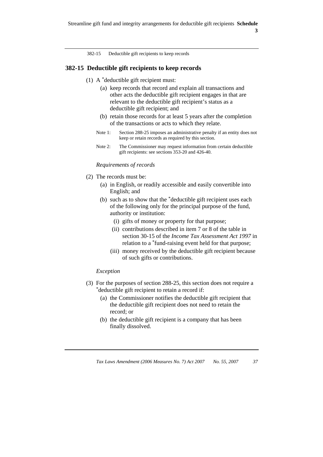382-15 Deductible gift recipients to keep records

#### **382-15 Deductible gift recipients to keep records**

- (1) A \*deductible gift recipient must:
	- (a) keep records that record and explain all transactions and other acts the deductible gift recipient engages in that are relevant to the deductible gift recipient's status as a deductible gift recipient; and
	- (b) retain those records for at least 5 years after the completion of the transactions or acts to which they relate.
	- Note 1: Section 288-25 imposes an administrative penalty if an entity does not keep or retain records as required by this section.
	- Note 2: The Commissioner may request information from certain deductible gift recipients: see sections 353-20 and 426-40.

#### *Requirements of records*

- (2) The records must be:
	- (a) in English, or readily accessible and easily convertible into English; and
	- (b) such as to show that the \*deductible gift recipient uses each of the following only for the principal purpose of the fund, authority or institution:
		- (i) gifts of money or property for that purpose;
		- (ii) contributions described in item 7 or 8 of the table in section 30-15 of the *Income Tax Assessment Act 1997* in relation to a \*fund-raising event held for that purpose;
		- (iii) money received by the deductible gift recipient because of such gifts or contributions.

#### *Exception*

- (3) For the purposes of section 288-25, this section does not require a \*deductible gift recipient to retain a record if:
	- (a) the Commissioner notifies the deductible gift recipient that the deductible gift recipient does not need to retain the record; or
	- (b) the deductible gift recipient is a company that has been finally dissolved.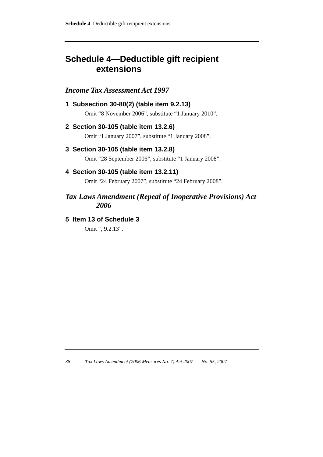# **Schedule 4—Deductible gift recipient extensions**

# *Income Tax Assessment Act 1997*

**1 Subsection 30-80(2) (table item 9.2.13)**  Omit "8 November 2006", substitute "1 January 2010".

# **2 Section 30-105 (table item 13.2.6)**

Omit "1 January 2007", substitute "1 January 2008".

## **3 Section 30-105 (table item 13.2.8)**

Omit "28 September 2006", substitute "1 January 2008".

# **4 Section 30-105 (table item 13.2.11)**

Omit "24 February 2007", substitute "24 February 2008".

# *Tax Laws Amendment (Repeal of Inoperative Provisions) Act 2006*

## **5 Item 13 of Schedule 3**

Omit ", 9.2.13".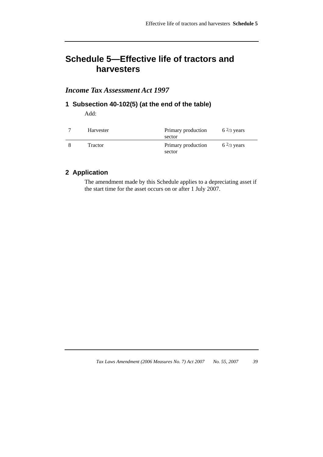# **Schedule 5—Effective life of tractors and harvesters**

# *Income Tax Assessment Act 1997*

# **1 Subsection 40-102(5) (at the end of the table)**

Add:

| Harvester | Primary production<br>sector | $6\frac{2}{3}$ years |
|-----------|------------------------------|----------------------|
| Tractor   | Primary production<br>sector | $6\frac{2}{3}$ years |

# **2 Application**

The amendment made by this Schedule applies to a depreciating asset if the start time for the asset occurs on or after 1 July 2007.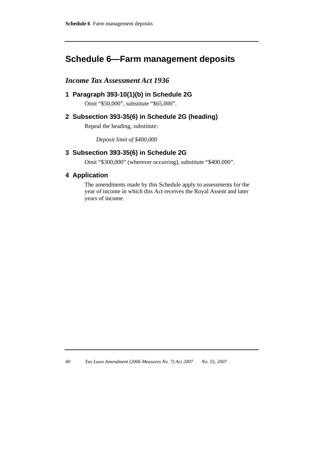# **Schedule 6—Farm management deposits**

# *Income Tax Assessment Act 1936*

# **1 Paragraph 393-10(1)(b) in Schedule 2G**

Omit "\$50,000", substitute "\$65,000".

# **2 Subsection 393-35(6) in Schedule 2G (heading)**

Repeal the heading, substitute:

*Deposit limit of \$400,000* 

# **3 Subsection 393-35(6) in Schedule 2G**

Omit "\$300,000" (wherever occurring), substitute "\$400,000".

## **4 Application**

The amendments made by this Schedule apply to assessments for the year of income in which this Act receives the Royal Assent and later years of income.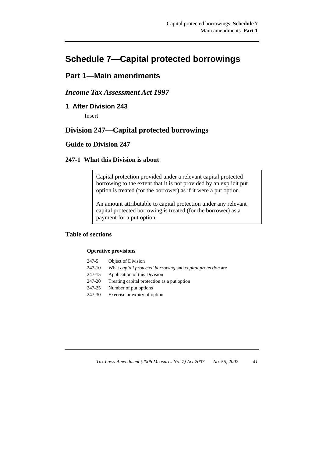# **Schedule 7—Capital protected borrowings**

# **Part 1—Main amendments**

# *Income Tax Assessment Act 1997*

**1 After Division 243** 

Insert:

# **Division 247—Capital protected borrowings**

# **Guide to Division 247**

## **247-1 What this Division is about**

Capital protection provided under a relevant capital protected borrowing to the extent that it is not provided by an explicit put option is treated (for the borrower) as if it were a put option.

An amount attributable to capital protection under any relevant capital protected borrowing is treated (for the borrower) as a payment for a put option.

## **Table of sections**

#### **Operative provisions**

- 247-5 Object of Division
- 247-10 What *capital protected borrowing* and *capital protection* are
- 247-15 Application of this Division
- 247-20 Treating capital protection as a put option
- 247-25 Number of put options
- 247-30 Exercise or expiry of option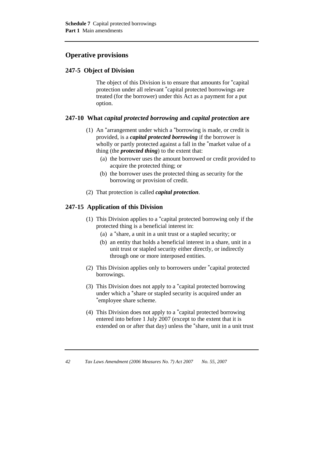# **Operative provisions**

# **247-5 Object of Division**

 The object of this Division is to ensure that amounts for \*capital protection under all relevant \*capital protected borrowings are treated (for the borrower) under this Act as a payment for a put option.

# **247-10 What** *capital protected borrowing* **and** *capital protection* **are**

- (1) An \*arrangement under which a \*borrowing is made, or credit is provided, is a *capital protected borrowing* if the borrower is wholly or partly protected against a fall in the \*market value of a thing (the *protected thing*) to the extent that:
	- (a) the borrower uses the amount borrowed or credit provided to acquire the protected thing; or
	- (b) the borrower uses the protected thing as security for the borrowing or provision of credit.
- (2) That protection is called *capital protection*.

# **247-15 Application of this Division**

- (1) This Division applies to a \*capital protected borrowing only if the protected thing is a beneficial interest in:
	- (a) a \*share, a unit in a unit trust or a stapled security; or
	- (b) an entity that holds a beneficial interest in a share, unit in a unit trust or stapled security either directly, or indirectly through one or more interposed entities.
- (2) This Division applies only to borrowers under \*capital protected borrowings.
- (3) This Division does not apply to a \*capital protected borrowing under which a \*share or stapled security is acquired under an \*employee share scheme.
- (4) This Division does not apply to a \*capital protected borrowing entered into before 1 July 2007 (except to the extent that it is extended on or after that day) unless the \*share, unit in a unit trust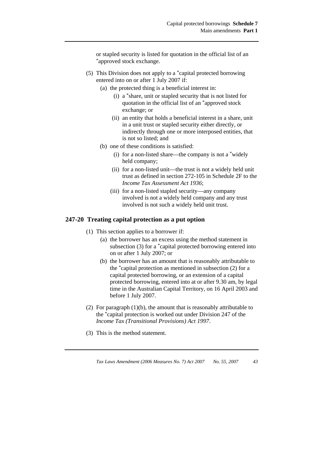or stapled security is listed for quotation in the official list of an \*approved stock exchange.

- (5) This Division does not apply to a \*capital protected borrowing entered into on or after 1 July 2007 if:
	- (a) the protected thing is a beneficial interest in:
		- (i) a \*share, unit or stapled security that is not listed for quotation in the official list of an \*approved stock exchange; or
		- (ii) an entity that holds a beneficial interest in a share, unit in a unit trust or stapled security either directly, or indirectly through one or more interposed entities, that is not so listed; and
	- (b) one of these conditions is satisfied:
		- (i) for a non-listed share—the company is not a \*widely held company;
		- (ii) for a non-listed unit—the trust is not a widely held unit trust as defined in section 272-105 in Schedule 2F to the *Income Tax Assessment Act 1936*;
		- (iii) for a non-listed stapled security—any company involved is not a widely held company and any trust involved is not such a widely held unit trust.

#### **247-20 Treating capital protection as a put option**

- (1) This section applies to a borrower if:
	- (a) the borrower has an excess using the method statement in subsection (3) for a \*capital protected borrowing entered into on or after 1 July 2007; or
	- (b) the borrower has an amount that is reasonably attributable to the \*capital protection as mentioned in subsection (2) for a capital protected borrowing, or an extension of a capital protected borrowing, entered into at or after 9.30 am, by legal time in the Australian Capital Territory, on 16 April 2003 and before 1 July 2007.
- (2) For paragraph (1)(b), the amount that is reasonably attributable to the \*capital protection is worked out under Division 247 of the *Income Tax (Transitional Provisions) Act 1997*.
- (3) This is the method statement.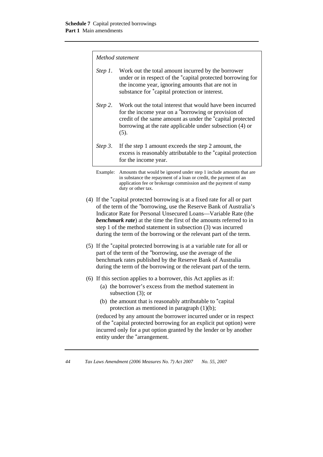#### *Method statement*

| Step 1. | Work out the total amount incurred by the borrower<br>under or in respect of the *capital protected borrowing for<br>the income year, ignoring amounts that are not in<br>substance for *capital protection or interest.                          |
|---------|---------------------------------------------------------------------------------------------------------------------------------------------------------------------------------------------------------------------------------------------------|
| Step 2. | Work out the total interest that would have been incurred<br>for the income year on a *borrowing or provision of<br>credit of the same amount as under the *capital protected<br>borrowing at the rate applicable under subsection (4) or<br>(5). |
| Step 3. | If the step 1 amount exceeds the step 2 amount, the<br>excess is reasonably attributable to the *capital protection<br>for the income year.                                                                                                       |

- (4) If the \*capital protected borrowing is at a fixed rate for all or part of the term of the \*borrowing, use the Reserve Bank of Australia's Indicator Rate for Personal Unsecured Loans—Variable Rate (the *benchmark rate*) at the time the first of the amounts referred to in step 1 of the method statement in subsection (3) was incurred during the term of the borrowing or the relevant part of the term.
- (5) If the \*capital protected borrowing is at a variable rate for all or part of the term of the \*borrowing, use the average of the benchmark rates published by the Reserve Bank of Australia during the term of the borrowing or the relevant part of the term.
- (6) If this section applies to a borrower, this Act applies as if:
	- (a) the borrower's excess from the method statement in subsection (3); or
	- (b) the amount that is reasonably attributable to \*capital protection as mentioned in paragraph (1)(b);

(reduced by any amount the borrower incurred under or in respect of the \*capital protected borrowing for an explicit put option) were incurred only for a put option granted by the lender or by another entity under the \*arrangement.

Example: Amounts that would be ignored under step 1 include amounts that are in substance the repayment of a loan or credit, the payment of an application fee or brokerage commission and the payment of stamp duty or other tax.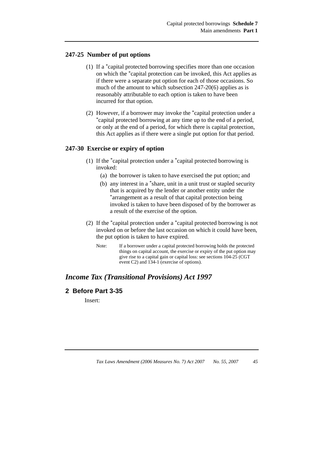### **247-25 Number of put options**

- (1) If a \*capital protected borrowing specifies more than one occasion on which the \*capital protection can be invoked, this Act applies as if there were a separate put option for each of those occasions. So much of the amount to which subsection 247-20(6) applies as is reasonably attributable to each option is taken to have been incurred for that option.
- (2) However, if a borrower may invoke the \*capital protection under a \*capital protected borrowing at any time up to the end of a period, or only at the end of a period, for which there is capital protection, this Act applies as if there were a single put option for that period.

### **247-30 Exercise or expiry of option**

- (1) If the \*capital protection under a \*capital protected borrowing is invoked:
	- (a) the borrower is taken to have exercised the put option; and
	- (b) any interest in a \*share, unit in a unit trust or stapled security that is acquired by the lender or another entity under the \*arrangement as a result of that capital protection being invoked is taken to have been disposed of by the borrower as a result of the exercise of the option.
- (2) If the \*capital protection under a \*capital protected borrowing is not invoked on or before the last occasion on which it could have been, the put option is taken to have expired.
	- Note: If a borrower under a capital protected borrowing holds the protected things on capital account, the exercise or expiry of the put option may give rise to a capital gain or capital loss: see sections 104-25 (CGT event C2) and 134-1 (exercise of options).

# *Income Tax (Transitional Provisions) Act 1997*

## **2 Before Part 3-35**

Insert: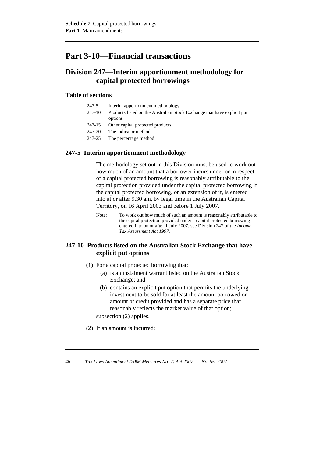# **Part 3-10—Financial transactions**

# **Division 247—Interim apportionment methodology for capital protected borrowings**

#### **Table of sections**

- 247-5 Interim apportionment methodology
- 247-10 Products listed on the Australian Stock Exchange that have explicit put options
- 247-15 Other capital protected products
- 247-20 The indicator method
- 247-25 The percentage method

### **247-5 Interim apportionment methodology**

 The methodology set out in this Division must be used to work out how much of an amount that a borrower incurs under or in respect of a capital protected borrowing is reasonably attributable to the capital protection provided under the capital protected borrowing if the capital protected borrowing, or an extension of it, is entered into at or after 9.30 am, by legal time in the Australian Capital Territory, on 16 April 2003 and before 1 July 2007.

Note: To work out how much of such an amount is reasonably attributable to the capital protection provided under a capital protected borrowing entered into on or after 1 July 2007, see Division 247 of the *Income Tax Assessment Act 1997*.

## **247-10 Products listed on the Australian Stock Exchange that have explicit put options**

- (1) For a capital protected borrowing that:
	- (a) is an instalment warrant listed on the Australian Stock Exchange; and
	- (b) contains an explicit put option that permits the underlying investment to be sold for at least the amount borrowed or amount of credit provided and has a separate price that reasonably reflects the market value of that option; subsection (2) applies.
- (2) If an amount is incurred: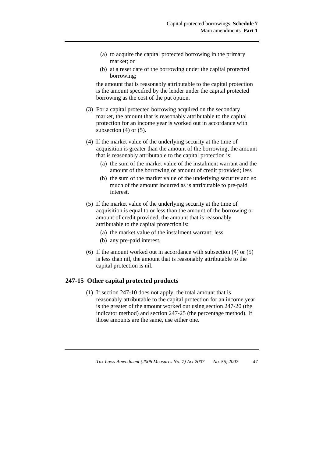- (a) to acquire the capital protected borrowing in the primary market; or
- (b) at a reset date of the borrowing under the capital protected borrowing;

the amount that is reasonably attributable to the capital protection is the amount specified by the lender under the capital protected borrowing as the cost of the put option.

- (3) For a capital protected borrowing acquired on the secondary market, the amount that is reasonably attributable to the capital protection for an income year is worked out in accordance with subsection  $(4)$  or  $(5)$ .
- (4) If the market value of the underlying security at the time of acquisition is greater than the amount of the borrowing, the amount that is reasonably attributable to the capital protection is:
	- (a) the sum of the market value of the instalment warrant and the amount of the borrowing or amount of credit provided; less
	- (b) the sum of the market value of the underlying security and so much of the amount incurred as is attributable to pre-paid interest.
- (5) If the market value of the underlying security at the time of acquisition is equal to or less than the amount of the borrowing or amount of credit provided, the amount that is reasonably attributable to the capital protection is:
	- (a) the market value of the instalment warrant; less
	- (b) any pre-paid interest.
- (6) If the amount worked out in accordance with subsection (4) or (5) is less than nil, the amount that is reasonably attributable to the capital protection is nil.

#### **247-15 Other capital protected products**

 (1) If section 247-10 does not apply, the total amount that is reasonably attributable to the capital protection for an income year is the greater of the amount worked out using section 247-20 (the indicator method) and section 247-25 (the percentage method). If those amounts are the same, use either one.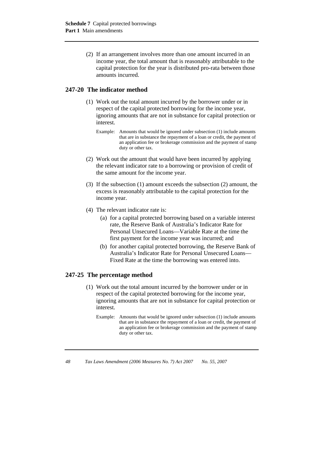(2) If an arrangement involves more than one amount incurred in an income year, the total amount that is reasonably attributable to the capital protection for the year is distributed pro-rata between those amounts incurred.

## **247-20 The indicator method**

- (1) Work out the total amount incurred by the borrower under or in respect of the capital protected borrowing for the income year, ignoring amounts that are not in substance for capital protection or interest.
	- Example: Amounts that would be ignored under subsection (1) include amounts that are in substance the repayment of a loan or credit, the payment of an application fee or brokerage commission and the payment of stamp duty or other tax.
- (2) Work out the amount that would have been incurred by applying the relevant indicator rate to a borrowing or provision of credit of the same amount for the income year.
- (3) If the subsection (1) amount exceeds the subsection (2) amount, the excess is reasonably attributable to the capital protection for the income year.
- (4) The relevant indicator rate is:
	- (a) for a capital protected borrowing based on a variable interest rate, the Reserve Bank of Australia's Indicator Rate for Personal Unsecured Loans—Variable Rate at the time the first payment for the income year was incurred; and
	- (b) for another capital protected borrowing, the Reserve Bank of Australia's Indicator Rate for Personal Unsecured Loans— Fixed Rate at the time the borrowing was entered into.

## **247-25 The percentage method**

- (1) Work out the total amount incurred by the borrower under or in respect of the capital protected borrowing for the income year, ignoring amounts that are not in substance for capital protection or interest.
	- Example: Amounts that would be ignored under subsection (1) include amounts that are in substance the repayment of a loan or credit, the payment of an application fee or brokerage commission and the payment of stamp duty or other tax.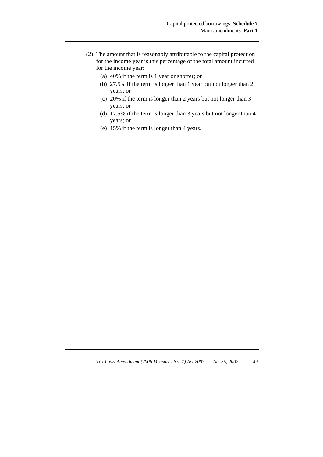- (2) The amount that is reasonably attributable to the capital protection for the income year is this percentage of the total amount incurred for the income year:
	- (a) 40% if the term is 1 year or shorter; or
	- (b) 27.5% if the term is longer than 1 year but not longer than 2 years; or
	- (c) 20% if the term is longer than 2 years but not longer than 3 years; or
	- (d) 17.5% if the term is longer than 3 years but not longer than 4 years; or
	- (e) 15% if the term is longer than 4 years.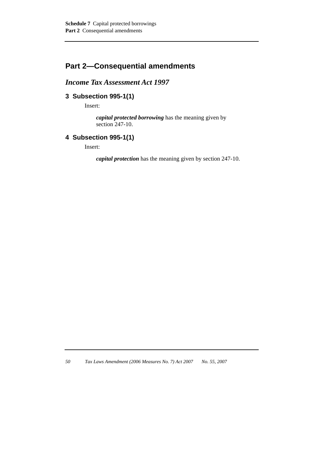# **Part 2—Consequential amendments**

# *Income Tax Assessment Act 1997*

# **3 Subsection 995-1(1)**

Insert:

*capital protected borrowing* has the meaning given by section 247-10.

# **4 Subsection 995-1(1)**

Insert:

*capital protection* has the meaning given by section 247-10.

*<sup>50</sup> Tax Laws Amendment (2006 Measures No. 7) Act 2007 No. 55, 2007*